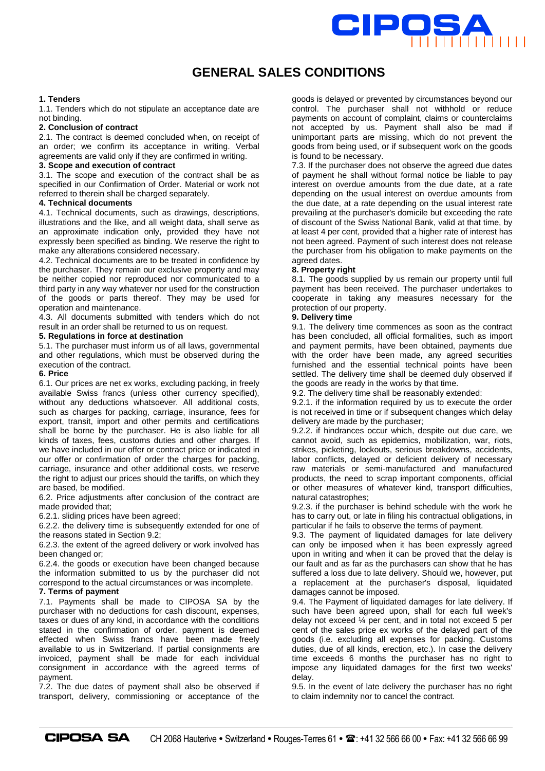

# **GENERAL SALES CONDITIONS**

## **1. Tenders**

1.1. Tenders which do not stipulate an acceptance date are not binding.

## **2. Conclusion of contract**

2.1. The contract is deemed concluded when, on receipt of an order; we confirm its acceptance in writing. Verbal agreements are valid only if they are confirmed in writing.

# **3. Scope and execution of contract**

3.1. The scope and execution of the contract shall be as specified in our Confirmation of Order. Material or work not referred to therein shall be charged separately.

# **4. Technical documents**

4.1. Technical documents, such as drawings, descriptions, illustrations and the like, and all weight data, shall serve as an approximate indication only, provided they have not expressly been specified as binding. We reserve the right to make any alterations considered necessary.

4.2. Technical documents are to be treated in confidence by the purchaser. They remain our exclusive property and may be neither copied nor reproduced nor communicated to a third party in any way whatever nor used for the construction of the goods or parts thereof. They may be used for operation and maintenance.

4.3. All documents submitted with tenders which do not result in an order shall be returned to us on request.

#### **5. Regulations in force at destination**

5.1. The purchaser must inform us of all laws, governmental and other regulations, which must be observed during the execution of the contract.

# **6. Price**

6.1. Our prices are net ex works, excluding packing, in freely available Swiss francs (unless other currency specified), without any deductions whatsoever. All additional costs, such as charges for packing, carriage, insurance, fees for export, transit, import and other permits and certifications shall be borne by the purchaser. He is also liable for all kinds of taxes, fees, customs duties and other charges. If we have included in our offer or contract price or indicated in our offer or confirmation of order the charges for packing, carriage, insurance and other additional costs, we reserve the right to adjust our prices should the tariffs, on which they are based, be modified.

6.2. Price adjustments after conclusion of the contract are made provided that;

6.2.1. sliding prices have been agreed;

6.2.2. the delivery time is subsequently extended for one of the reasons stated in Section 9.2;

6.2.3. the extent of the agreed delivery or work involved has been changed or;

6.2.4. the goods or execution have been changed because the information submitted to us by the purchaser did not correspond to the actual circumstances or was incomplete.

# **7. Terms of payment**

7.1. Payments shall be made to CIPOSA SA by the purchaser with no deductions for cash discount, expenses, taxes or dues of any kind, in accordance with the conditions stated in the confirmation of order. payment is deemed effected when Swiss francs have been made freely available to us in Switzerland. If partial consignments are invoiced, payment shall be made for each individual consignment in accordance with the agreed terms of payment.

7.2. The due dates of payment shall also be observed if transport, delivery, commissioning or acceptance of the goods is delayed or prevented by circumstances beyond our control. The purchaser shall not withhold or reduce payments on account of complaint, claims or counterclaims not accepted by us. Payment shall also be mad if unimportant parts are missing, which do not prevent the goods from being used, or if subsequent work on the goods is found to be necessary.

7.3. If the purchaser does not observe the agreed due dates of payment he shall without formal notice be liable to pay interest on overdue amounts from the due date, at a rate depending on the usual interest on overdue amounts from the due date, at a rate depending on the usual interest rate prevailing at the purchaser's domicile but exceeding the rate of discount of the Swiss National Bank, valid at that time, by at least 4 per cent, provided that a higher rate of interest has not been agreed. Payment of such interest does not release the purchaser from his obligation to make payments on the agreed dates.

#### **8. Property right**

8.1. The goods supplied by us remain our property until full payment has been received. The purchaser undertakes to cooperate in taking any measures necessary for the protection of our property.

#### **9. Delivery time**

9.1. The delivery time commences as soon as the contract has been concluded, all official formalities, such as import and payment permits, have been obtained, payments due with the order have been made, any agreed securities furnished and the essential technical points have been settled. The delivery time shall be deemed duly observed if the goods are ready in the works by that time.

9.2. The delivery time shall be reasonably extended:

9.2.1. if the information required by us to execute the order is not received in time or if subsequent changes which delay delivery are made by the purchaser;

9.2.2. if hindrances occur which, despite out due care, we cannot avoid, such as epidemics, mobilization, war, riots, strikes, picketing, lockouts, serious breakdowns, accidents, labor conflicts, delayed or deficient delivery of necessary raw materials or semi-manufactured and manufactured products, the need to scrap important components, official or other measures of whatever kind, transport difficulties, natural catastrophes;

9.2.3. if the purchaser is behind schedule with the work he has to carry out, or late in filing his contractual obligations, in particular if he fails to observe the terms of payment.

9.3. The payment of liquidated damages for late delivery can only be imposed when it has been expressly agreed upon in writing and when it can be proved that the delay is our fault and as far as the purchasers can show that he has suffered a loss due to late delivery. Should we, however, put a replacement at the purchaser's disposal, liquidated damages cannot be imposed.

9.4. The Payment of liquidated damages for late delivery. If such have been agreed upon, shall for each full week's delay not exceed ¼ per cent, and in total not exceed 5 per cent of the sales price ex works of the delayed part of the goods (i.e. excluding all expenses for packing. Customs duties, due of all kinds, erection, etc.). In case the delivery time exceeds 6 months the purchaser has no right to impose any liquidated damages for the first two weeks' delay.

9.5. In the event of late delivery the purchaser has no right to claim indemnity nor to cancel the contract.